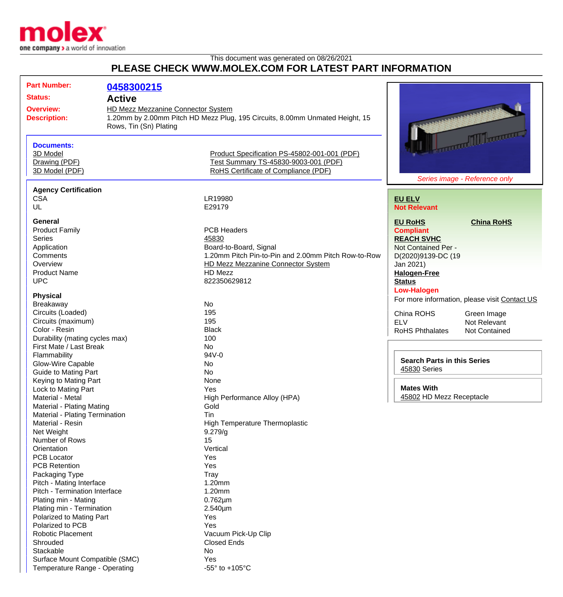

Temperature Range - Operating  $-55^\circ$  to +105°C

This document was generated on 08/26/2021

## **PLEASE CHECK WWW.MOLEX.COM FOR LATEST PART INFORMATION**

| <b>Part Number:</b>                        |                                | 0458300215                                                                                                                                   |                                                                                      |                                    |                                               |
|--------------------------------------------|--------------------------------|----------------------------------------------------------------------------------------------------------------------------------------------|--------------------------------------------------------------------------------------|------------------------------------|-----------------------------------------------|
| <b>Status:</b>                             |                                | <b>Active</b>                                                                                                                                |                                                                                      |                                    |                                               |
|                                            |                                |                                                                                                                                              |                                                                                      |                                    |                                               |
| <b>Overview:</b><br><b>Description:</b>    |                                | HD Mezz Mezzanine Connector System<br>1.20mm by 2.00mm Pitch HD Mezz Plug, 195 Circuits, 8.00mm Unmated Height, 15<br>Rows, Tin (Sn) Plating |                                                                                      |                                    | <b>THE MANUSCRIPT</b>                         |
|                                            | <b>Documents:</b>              |                                                                                                                                              |                                                                                      |                                    |                                               |
| 3D Model<br>Drawing (PDF)                  |                                |                                                                                                                                              | Product Specification PS-45802-001-001 (PDF)<br>Test Summary TS-45830-9003-001 (PDF) |                                    |                                               |
|                                            |                                |                                                                                                                                              |                                                                                      |                                    |                                               |
|                                            | 3D Model (PDF)                 |                                                                                                                                              | RoHS Certificate of Compliance (PDF)                                                 |                                    |                                               |
|                                            |                                |                                                                                                                                              |                                                                                      |                                    | Series image - Reference only                 |
|                                            | <b>Agency Certification</b>    |                                                                                                                                              |                                                                                      |                                    |                                               |
|                                            | <b>CSA</b>                     |                                                                                                                                              | LR19980                                                                              | <b>EU ELV</b>                      |                                               |
|                                            | <b>UL</b>                      |                                                                                                                                              | E29179                                                                               | <b>Not Relevant</b>                |                                               |
|                                            |                                |                                                                                                                                              |                                                                                      |                                    |                                               |
|                                            | General                        |                                                                                                                                              |                                                                                      | <b>EU RoHS</b>                     | <b>China RoHS</b>                             |
|                                            | <b>Product Family</b>          |                                                                                                                                              | <b>PCB Headers</b>                                                                   | <b>Compliant</b>                   |                                               |
|                                            | <b>Series</b>                  |                                                                                                                                              | 45830                                                                                | <b>REACH SVHC</b>                  |                                               |
|                                            | Application                    |                                                                                                                                              | Board-to-Board, Signal                                                               | Not Contained Per -                |                                               |
|                                            | Comments                       |                                                                                                                                              | 1.20mm Pitch Pin-to-Pin and 2.00mm Pitch Row-to-Row                                  | D(2020)9139-DC (19                 |                                               |
|                                            | Overview                       |                                                                                                                                              | <b>HD Mezz Mezzanine Connector System</b>                                            | Jan 2021)                          |                                               |
|                                            | <b>Product Name</b>            |                                                                                                                                              | HD Mezz                                                                              | <b>Halogen-Free</b>                |                                               |
|                                            | <b>UPC</b>                     |                                                                                                                                              | 822350629812                                                                         | <b>Status</b>                      |                                               |
|                                            | <b>Physical</b>                |                                                                                                                                              |                                                                                      | <b>Low-Halogen</b>                 |                                               |
|                                            | Breakaway                      |                                                                                                                                              | No                                                                                   |                                    | For more information, please visit Contact US |
|                                            | Circuits (Loaded)              |                                                                                                                                              | 195                                                                                  |                                    |                                               |
|                                            | Circuits (maximum)             |                                                                                                                                              | 195                                                                                  | China ROHS                         | Green Image                                   |
|                                            | Color - Resin                  |                                                                                                                                              | <b>Black</b>                                                                         | <b>ELV</b>                         | Not Relevant                                  |
|                                            | Durability (mating cycles max) |                                                                                                                                              | 100                                                                                  | <b>RoHS Phthalates</b>             | <b>Not Contained</b>                          |
|                                            | First Mate / Last Break        |                                                                                                                                              | <b>No</b>                                                                            |                                    |                                               |
| Flammability<br>Glow-Wire Capable          |                                |                                                                                                                                              | 94V-0                                                                                |                                    |                                               |
|                                            |                                |                                                                                                                                              | No                                                                                   | <b>Search Parts in this Series</b> |                                               |
| <b>Guide to Mating Part</b>                |                                |                                                                                                                                              | <b>No</b>                                                                            | 45830 Series                       |                                               |
|                                            | Keying to Mating Part          |                                                                                                                                              | None                                                                                 |                                    |                                               |
|                                            | Lock to Mating Part            |                                                                                                                                              | Yes                                                                                  | <b>Mates With</b>                  |                                               |
|                                            | Material - Metal               |                                                                                                                                              | High Performance Alloy (HPA)                                                         | 45802 HD Mezz Receptacle           |                                               |
| Material - Plating Mating                  |                                |                                                                                                                                              | Gold                                                                                 |                                    |                                               |
|                                            | Material - Plating Termination |                                                                                                                                              | Tin                                                                                  |                                    |                                               |
|                                            | Material - Resin               |                                                                                                                                              | <b>High Temperature Thermoplastic</b>                                                |                                    |                                               |
| Net Weight<br>Number of Rows               |                                |                                                                                                                                              | 9.279/g                                                                              |                                    |                                               |
|                                            |                                |                                                                                                                                              | 15                                                                                   |                                    |                                               |
|                                            | Orientation                    |                                                                                                                                              | Vertical                                                                             |                                    |                                               |
|                                            | <b>PCB Locator</b>             |                                                                                                                                              | Yes                                                                                  |                                    |                                               |
|                                            | <b>PCB Retention</b>           |                                                                                                                                              | Yes                                                                                  |                                    |                                               |
| Packaging Type<br>Pitch - Mating Interface |                                |                                                                                                                                              | Tray                                                                                 |                                    |                                               |
|                                            |                                |                                                                                                                                              | 1.20mm                                                                               |                                    |                                               |
|                                            | Pitch - Termination Interface  |                                                                                                                                              | 1.20mm                                                                               |                                    |                                               |
|                                            | Plating min - Mating           |                                                                                                                                              | $0.762 \mu m$                                                                        |                                    |                                               |
|                                            | Plating min - Termination      |                                                                                                                                              | 2.540µm                                                                              |                                    |                                               |
|                                            | Polarized to Mating Part       |                                                                                                                                              | Yes                                                                                  |                                    |                                               |
|                                            | Polarized to PCB               |                                                                                                                                              | Yes                                                                                  |                                    |                                               |
| Robotic Placement                          |                                |                                                                                                                                              | Vacuum Pick-Up Clip                                                                  |                                    |                                               |
|                                            | Shrouded                       |                                                                                                                                              | <b>Closed Ends</b>                                                                   |                                    |                                               |
|                                            | Stackable                      |                                                                                                                                              | No                                                                                   |                                    |                                               |
|                                            | Surface Mount Compatible (SMC) |                                                                                                                                              | Yes                                                                                  |                                    |                                               |
|                                            |                                |                                                                                                                                              |                                                                                      |                                    |                                               |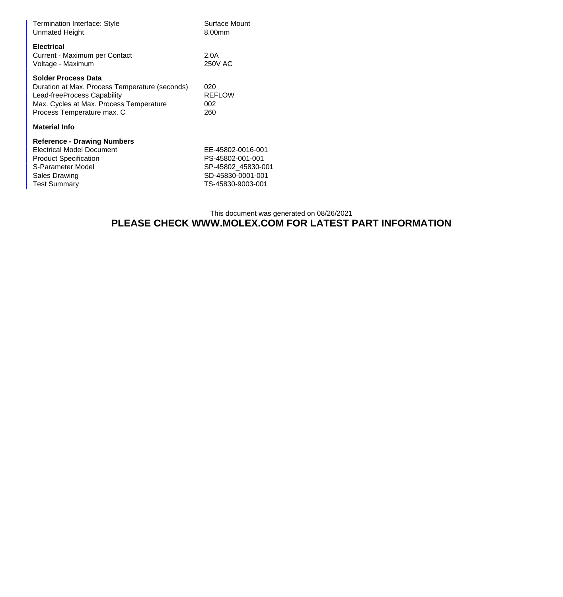| Termination Interface: Style<br><b>Unmated Height</b>                                                                                                                                | Surface Mount<br>8.00mm                                                                               |  |  |  |
|--------------------------------------------------------------------------------------------------------------------------------------------------------------------------------------|-------------------------------------------------------------------------------------------------------|--|--|--|
| <b>Electrical</b><br>Current - Maximum per Contact<br>Voltage - Maximum                                                                                                              | 2.0A<br>250V AC                                                                                       |  |  |  |
| <b>Solder Process Data</b><br>Duration at Max. Process Temperature (seconds)<br>Lead-freeProcess Capability<br>Max. Cycles at Max. Process Temperature<br>Process Temperature max. C | 020<br><b>REFLOW</b><br>002<br>260                                                                    |  |  |  |
| <b>Material Info</b>                                                                                                                                                                 |                                                                                                       |  |  |  |
| <b>Reference - Drawing Numbers</b><br>Electrical Model Document<br><b>Product Specification</b><br>S-Parameter Model<br>Sales Drawing<br><b>Test Summary</b>                         | EE-45802-0016-001<br>PS-45802-001-001<br>SP-45802 45830-001<br>SD-45830-0001-001<br>TS-45830-9003-001 |  |  |  |

## This document was generated on 08/26/2021 **PLEASE CHECK WWW.MOLEX.COM FOR LATEST PART INFORMATION**